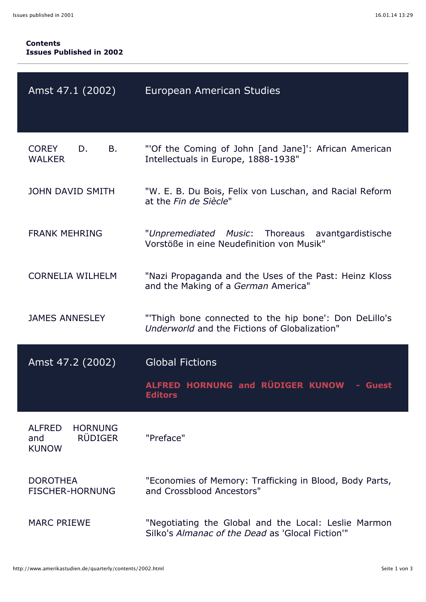## **Contents Issues Published in 2002**

| Amst 47.1 (2002)                                                         | European American Studies                                                                                |
|--------------------------------------------------------------------------|----------------------------------------------------------------------------------------------------------|
| <b>COREY</b><br>D.<br>B.<br><b>WALKER</b>                                | "Of the Coming of John [and Jane]': African American<br>Intellectuals in Europe, 1888-1938"              |
| <b>JOHN DAVID SMITH</b>                                                  | "W. E. B. Du Bois, Felix von Luschan, and Racial Reform<br>at the Fin de Siècle"                         |
| <b>FRANK MEHRING</b>                                                     | "Unpremediated Music: Thoreaus avantgardistische<br>Vorstöße in eine Neudefinition von Musik"            |
| <b>CORNELIA WILHELM</b>                                                  | "Nazi Propaganda and the Uses of the Past: Heinz Kloss<br>and the Making of a German America"            |
| <b>JAMES ANNESLEY</b>                                                    | "Thigh bone connected to the hip bone': Don DeLillo's<br>Underworld and the Fictions of Globalization"   |
| Amst 47.2 (2002)                                                         | <b>Global Fictions</b>                                                                                   |
|                                                                          | ALFRED HORNUNG and RÜDIGER KUNOW<br><b>Guest</b><br><b>Editors</b>                                       |
| <b>ALFRED</b><br><b>HORNUNG</b><br><b>RÜDIGER</b><br>and<br><b>KUNOW</b> | "Preface"                                                                                                |
| <b>DOROTHEA</b><br><b>FISCHER-HORNUNG</b>                                | "Economies of Memory: Trafficking in Blood, Body Parts,<br>and Crossblood Ancestors"                     |
| <b>MARC PRIEWE</b>                                                       | "Negotiating the Global and the Local: Leslie Marmon<br>Silko's Almanac of the Dead as 'Glocal Fiction'" |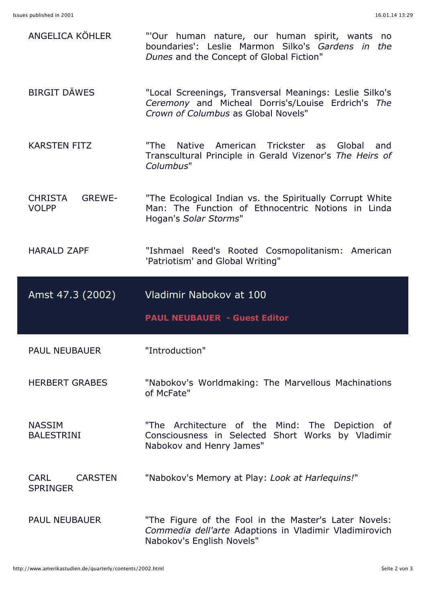| ANGELICA KÖHLER                           | "'Our human nature, our human spirit, wants no<br>boundaries': Leslie Marmon Silko's Gardens in the<br>Dunes and the Concept of Global Fiction"      |
|-------------------------------------------|------------------------------------------------------------------------------------------------------------------------------------------------------|
| <b>BIRGIT DÄWES</b>                       | "Local Screenings, Transversal Meanings: Leslie Silko's<br>Ceremony and Micheal Dorris's/Louise Erdrich's The<br>Crown of Columbus as Global Novels" |
| <b>KARSTEN FITZ</b>                       | "The<br>Native American Trickster as<br>Global<br>and<br>Transcultural Principle in Gerald Vizenor's The Heirs of<br>Columbus"                       |
| <b>CHRISTA</b><br>GREWE-<br><b>VOLPP</b>  | "The Ecological Indian vs. the Spiritually Corrupt White<br>Man: The Function of Ethnocentric Notions in Linda<br>Hogan's Solar Storms"              |
| <b>HARALD ZAPF</b>                        | "Ishmael Reed's Rooted Cosmopolitanism: American<br>'Patriotism' and Global Writing"                                                                 |
|                                           |                                                                                                                                                      |
| Amst 47.3 (2002)                          | Vladimir Nabokov at 100                                                                                                                              |
|                                           | <b>PAUL NEUBAUER - Guest Editor</b>                                                                                                                  |
| <b>PAUL NEUBAUER</b>                      | "Introduction"                                                                                                                                       |
| <b>HERBERT GRABES</b>                     | "Nabokov's Worldmaking: The Marvellous Machinations<br>of McFate"                                                                                    |
| <b>NASSIM</b><br><b>BALESTRINI</b>        | "The Architecture of the Mind: The Depiction of<br>Consciousness in Selected Short Works by Vladimir<br>Nabokov and Henry James"                     |
| <b>CARSTEN</b><br>CARL<br><b>SPRINGER</b> | "Nabokov's Memory at Play: Look at Harlequins!"                                                                                                      |